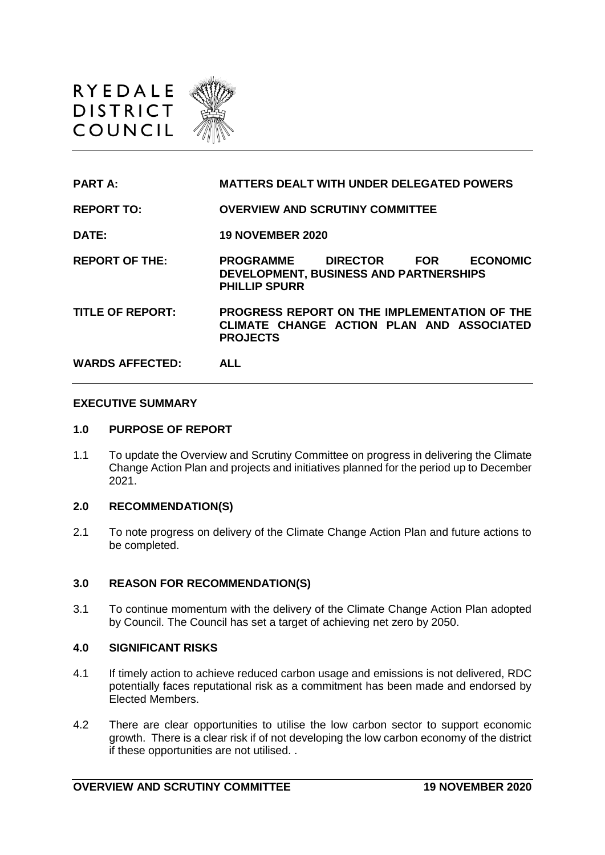



**PART A: MATTERS DEALT WITH UNDER DELEGATED POWERS** 

**REPORT TO: OVERVIEW AND SCRUTINY COMMITTEE**

**DATE: 19 NOVEMBER 2020**

**REPORT OF THE: PROGRAMME DIRECTOR FOR ECONOMIC DEVELOPMENT, BUSINESS AND PARTNERSHIPS PHILLIP SPURR**

**TITLE OF REPORT: PROGRESS REPORT ON THE IMPLEMENTATION OF THE CLIMATE CHANGE ACTION PLAN AND ASSOCIATED PROJECTS**

**WARDS AFFECTED: ALL** 

#### **EXECUTIVE SUMMARY**

#### **1.0 PURPOSE OF REPORT**

1.1 To update the Overview and Scrutiny Committee on progress in delivering the Climate Change Action Plan and projects and initiatives planned for the period up to December 2021.

#### **2.0 RECOMMENDATION(S)**

2.1 To note progress on delivery of the Climate Change Action Plan and future actions to be completed.

#### **3.0 REASON FOR RECOMMENDATION(S)**

3.1 To continue momentum with the delivery of the Climate Change Action Plan adopted by Council. The Council has set a target of achieving net zero by 2050.

#### **4.0 SIGNIFICANT RISKS**

- 4.1 If timely action to achieve reduced carbon usage and emissions is not delivered, RDC potentially faces reputational risk as a commitment has been made and endorsed by Elected Members.
- 4.2 There are clear opportunities to utilise the low carbon sector to support economic growth. There is a clear risk if of not developing the low carbon economy of the district if these opportunities are not utilised. .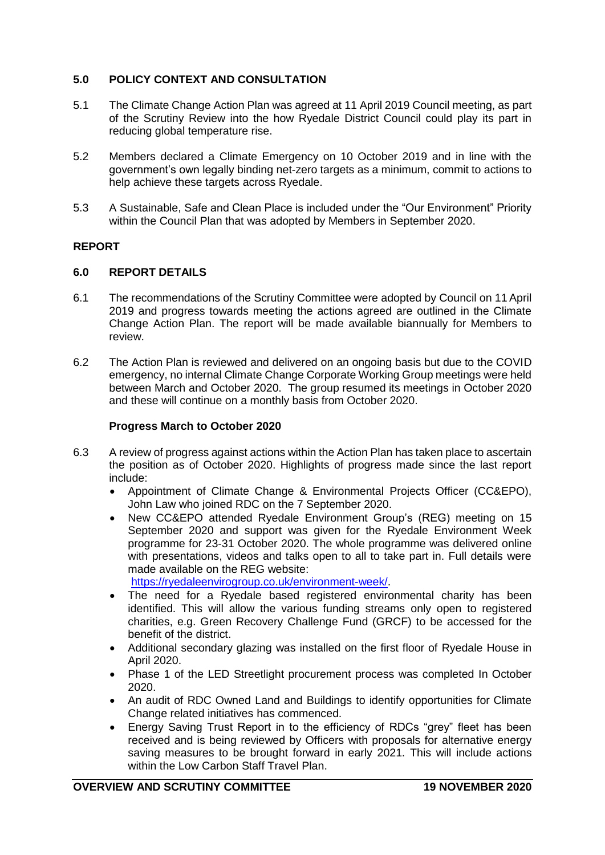# **5.0 POLICY CONTEXT AND CONSULTATION**

- 5.1 The Climate Change Action Plan was agreed at [11 April 2019 Council](https://democracy.ryedale.gov.uk/documents/g2887/Printed%20minutes%2011th-Apr-2019%2018.30%20Council.pdf?T=1) meeting, as part of the Scrutiny Review into the how Ryedale District Council could play its part in reducing global temperature rise.
- 5.2 Members declared a Climate Emergency on 10 October 2019 and in line with the government's own legally binding net-zero targets as a minimum, commit to actions to help achieve these targets across Ryedale.
- 5.3 A Sustainable, Safe and Clean Place is included under the "Our Environment" Priority within the Council Plan that was adopted by Members in September 2020.

# **REPORT**

## **6.0 REPORT DETAILS**

- 6.1 The recommendations of the Scrutiny Committee were adopted by Council on 11 April 2019 and progress towards meeting the actions agreed are outlined in the Climate Change Action Plan. The report will be made available biannually for Members to review.
- 6.2 The Action Plan is reviewed and delivered on an ongoing basis but due to the COVID emergency, no internal Climate Change Corporate Working Group meetings were held between March and October 2020. The group resumed its meetings in October 2020 and these will continue on a monthly basis from October 2020.

## **Progress March to October 2020**

- 6.3 A review of progress against actions within the Action Plan has taken place to ascertain the position as of October 2020. Highlights of progress made since the last report include:
	- Appointment of Climate Change & Environmental Projects Officer (CC&EPO), John Law who joined RDC on the 7 September 2020.
	- New CC&EPO attended Ryedale Environment Group's (REG) meeting on 15 September 2020 and support was given for the Ryedale Environment Week programme for 23-31 October 2020. The whole programme was delivered online with presentations, videos and talks open to all to take part in. Full details were made available on the REG website: [https://ryedaleenvirogroup.co.uk/environment-week/.](https://ryedaleenvirogroup.co.uk/environment-week/)
		-
	- The need for a Ryedale based registered environmental charity has been identified. This will allow the various funding streams only open to registered charities, e.g. Green Recovery Challenge Fund (GRCF) to be accessed for the benefit of the district.
	- Additional secondary glazing was installed on the first floor of Ryedale House in April 2020.
	- Phase 1 of the LED Streetlight procurement process was completed In October 2020.
	- An audit of RDC Owned Land and Buildings to identify opportunities for Climate Change related initiatives has commenced.
	- Energy Saving Trust Report in to the efficiency of RDCs "grey" fleet has been received and is being reviewed by Officers with proposals for alternative energy saving measures to be brought forward in early 2021. This will include actions within the Low Carbon Staff Travel Plan.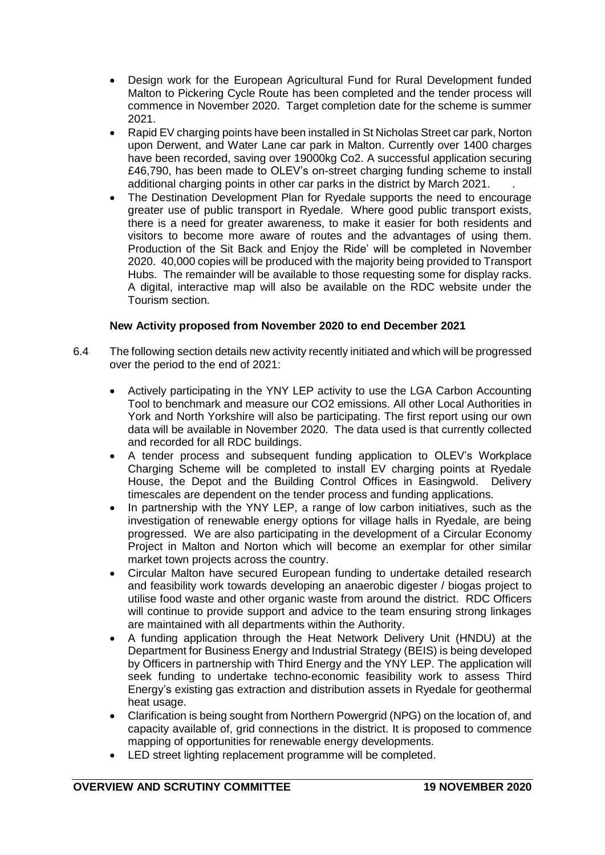- Design work for the European Agricultural Fund for Rural Development funded Malton to Pickering Cycle Route has been completed and the tender process will commence in November 2020. Target completion date for the scheme is summer 2021.
- Rapid EV charging points have been installed in St Nicholas Street car park, Norton upon Derwent, and Water Lane car park in Malton. Currently over 1400 charges have been recorded, saving over 19000kg Co2. A successful application securing £46,790, has been made to OLEV's on-street charging funding scheme to install additional charging points in other car parks in the district by March 2021. .
- The Destination Development Plan for Ryedale supports the need to encourage greater use of public transport in Ryedale. Where good public transport exists, there is a need for greater awareness, to make it easier for both residents and visitors to become more aware of routes and the advantages of using them. Production of the Sit Back and Enjoy the Ride' will be completed in November 2020. 40,000 copies will be produced with the majority being provided to Transport Hubs. The remainder will be available to those requesting some for display racks. A digital, interactive map will also be available on the RDC website under the Tourism section.

## **New Activity proposed from November 2020 to end December 2021**

- 6.4 The following section details new activity recently initiated and which will be progressed over the period to the end of 2021:
	- Actively participating in the YNY LEP activity to use the LGA Carbon Accounting Tool to benchmark and measure our CO2 emissions. All other Local Authorities in York and North Yorkshire will also be participating. The first report using our own data will be available in November 2020. The data used is that currently collected and recorded for all RDC buildings.
	- A tender process and subsequent funding application to OLEV's Workplace Charging Scheme will be completed to install EV charging points at Ryedale House, the Depot and the Building Control Offices in Easingwold. Delivery timescales are dependent on the tender process and funding applications.
	- In partnership with the YNY LEP, a range of low carbon initiatives, such as the investigation of renewable energy options for village halls in Ryedale, are being progressed. We are also participating in the development of a Circular Economy Project in Malton and Norton which will become an exemplar for other similar market town projects across the country.
	- Circular Malton have secured European funding to undertake detailed research and feasibility work towards developing an anaerobic digester / biogas project to utilise food waste and other organic waste from around the district. RDC Officers will continue to provide support and advice to the team ensuring strong linkages are maintained with all departments within the Authority.
	- A funding application through the Heat Network Delivery Unit (HNDU) at the Department for Business Energy and Industrial Strategy (BEIS) is being developed by Officers in partnership with Third Energy and the YNY LEP. The application will seek funding to undertake techno-economic feasibility work to assess Third Energy's existing gas extraction and distribution assets in Ryedale for geothermal heat usage.
	- Clarification is being sought from Northern Powergrid (NPG) on the location of, and capacity available of, grid connections in the district. It is proposed to commence mapping of opportunities for renewable energy developments.
	- LED street lighting replacement programme will be completed.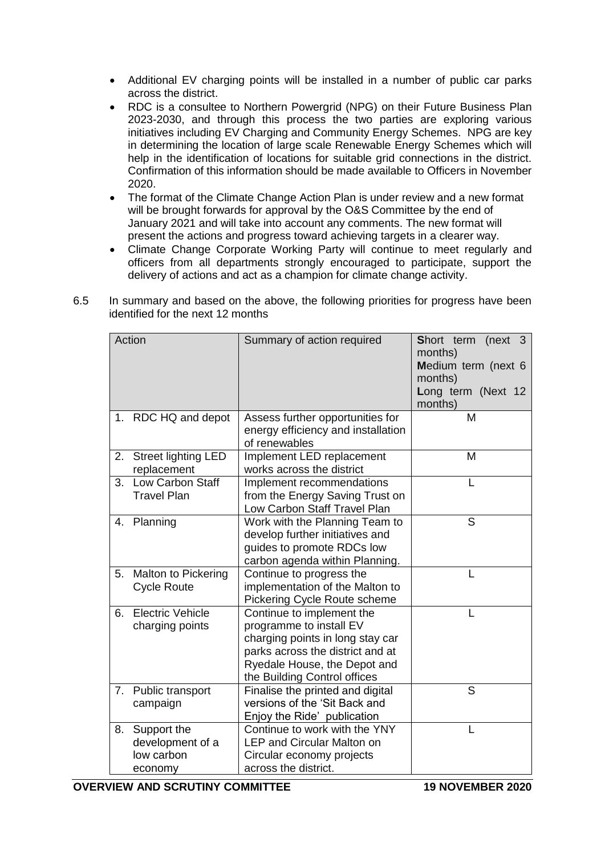- Additional EV charging points will be installed in a number of public car parks across the district.
- RDC is a consultee to Northern Powergrid (NPG) on their Future Business Plan 2023-2030, and through this process the two parties are exploring various initiatives including EV Charging and Community Energy Schemes. NPG are key in determining the location of large scale Renewable Energy Schemes which will help in the identification of locations for suitable grid connections in the district. Confirmation of this information should be made available to Officers in November 2020.
- The format of the Climate Change Action Plan is under review and a new format will be brought forwards for approval by the O&S Committee by the end of January 2021 and will take into account any comments. The new format will present the actions and progress toward achieving targets in a clearer way.
- Climate Change Corporate Working Party will continue to meet regularly and officers from all departments strongly encouraged to participate, support the delivery of actions and act as a champion for climate change activity.

|    | Action                  | Summary of action required         | Short term<br>(new 3) |
|----|-------------------------|------------------------------------|-----------------------|
|    |                         |                                    | months)               |
|    |                         |                                    | Medium term (next 6   |
|    |                         |                                    | months)               |
|    |                         |                                    | Long term (Next 12    |
|    |                         |                                    | months)               |
|    | 1. RDC HQ and depot     | Assess further opportunities for   | M                     |
|    |                         | energy efficiency and installation |                       |
|    |                         | of renewables                      |                       |
|    | 2. Street lighting LED  | Implement LED replacement          | M                     |
|    | replacement             | works across the district          |                       |
| 3. | <b>Low Carbon Staff</b> | Implement recommendations          |                       |
|    | <b>Travel Plan</b>      | from the Energy Saving Trust on    |                       |
|    |                         | Low Carbon Staff Travel Plan       |                       |
|    | 4. Planning             | Work with the Planning Team to     | S                     |
|    |                         | develop further initiatives and    |                       |
|    |                         | guides to promote RDCs low         |                       |
|    |                         | carbon agenda within Planning.     |                       |
|    | 5. Malton to Pickering  | Continue to progress the           |                       |
|    | <b>Cycle Route</b>      | implementation of the Malton to    |                       |
|    |                         | Pickering Cycle Route scheme       |                       |
|    | 6. Electric Vehicle     | Continue to implement the          | L                     |
|    | charging points         | programme to install EV            |                       |
|    |                         | charging points in long stay car   |                       |
|    |                         | parks across the district and at   |                       |
|    |                         | Ryedale House, the Depot and       |                       |
|    |                         | the Building Control offices       |                       |
|    | 7. Public transport     | Finalise the printed and digital   | S                     |
|    | campaign                | versions of the 'Sit Back and      |                       |
|    |                         | Enjoy the Ride' publication        |                       |
| 8. | Support the             | Continue to work with the YNY      |                       |
|    | development of a        | <b>LEP and Circular Malton on</b>  |                       |
|    | low carbon              | Circular economy projects          |                       |
|    | economy                 | across the district.               |                       |

6.5 In summary and based on the above, the following priorities for progress have been identified for the next 12 months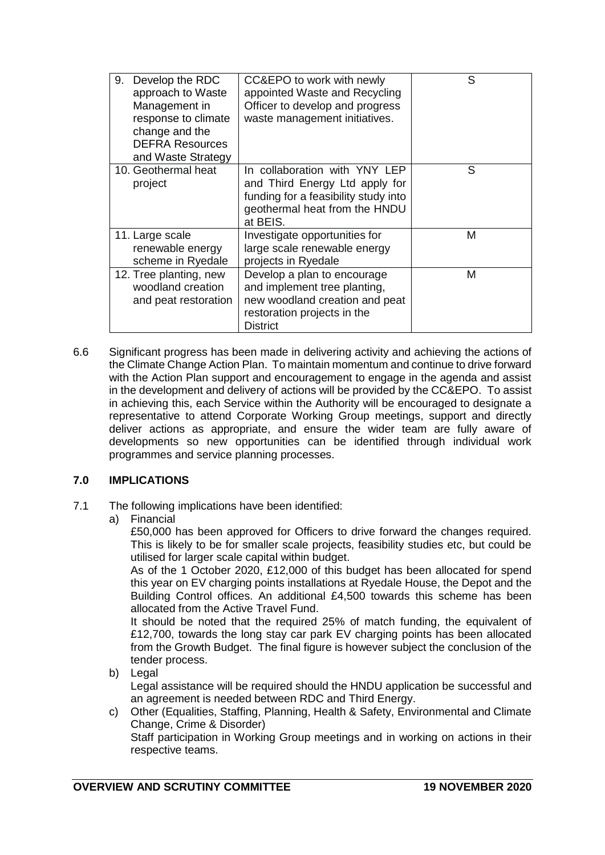| Develop the RDC<br>9.<br>approach to Waste<br>Management in<br>response to climate<br>change and the<br><b>DEFRA Resources</b><br>and Waste Strategy | CC&EPO to work with newly<br>appointed Waste and Recycling<br>Officer to develop and progress<br>waste management initiatives.                       | S |
|------------------------------------------------------------------------------------------------------------------------------------------------------|------------------------------------------------------------------------------------------------------------------------------------------------------|---|
| 10. Geothermal heat<br>project                                                                                                                       | In collaboration with YNY LEP<br>and Third Energy Ltd apply for<br>funding for a feasibility study into<br>geothermal heat from the HNDU<br>at BEIS. | S |
| 11. Large scale<br>renewable energy<br>scheme in Ryedale                                                                                             | Investigate opportunities for<br>large scale renewable energy<br>projects in Ryedale                                                                 | M |
| 12. Tree planting, new<br>woodland creation<br>and peat restoration                                                                                  | Develop a plan to encourage<br>and implement tree planting,<br>new woodland creation and peat<br>restoration projects in the<br><b>District</b>      | M |

6.6 Significant progress has been made in delivering activity and achieving the actions of the Climate Change Action Plan. To maintain momentum and continue to drive forward with the Action Plan support and encouragement to engage in the agenda and assist in the development and delivery of actions will be provided by the CC&EPO. To assist in achieving this, each Service within the Authority will be encouraged to designate a representative to attend Corporate Working Group meetings, support and directly deliver actions as appropriate, and ensure the wider team are fully aware of developments so new opportunities can be identified through individual work programmes and service planning processes.

# **7.0 IMPLICATIONS**

- 7.1 The following implications have been identified:
	- a) Financial

£50,000 has been approved for Officers to drive forward the changes required. This is likely to be for smaller scale projects, feasibility studies etc, but could be utilised for larger scale capital within budget.

As of the 1 October 2020, £12,000 of this budget has been allocated for spend this year on EV charging points installations at Ryedale House, the Depot and the Building Control offices. An additional £4,500 towards this scheme has been allocated from the Active Travel Fund.

It should be noted that the required 25% of match funding, the equivalent of £12,700, towards the long stay car park EV charging points has been allocated from the Growth Budget. The final figure is however subject the conclusion of the tender process.

- b) Legal Legal assistance will be required should the HNDU application be successful and an agreement is needed between RDC and Third Energy.
- c) Other (Equalities, Staffing, Planning, Health & Safety, Environmental and Climate Change, Crime & Disorder) Staff participation in Working Group meetings and in working on actions in their respective teams.